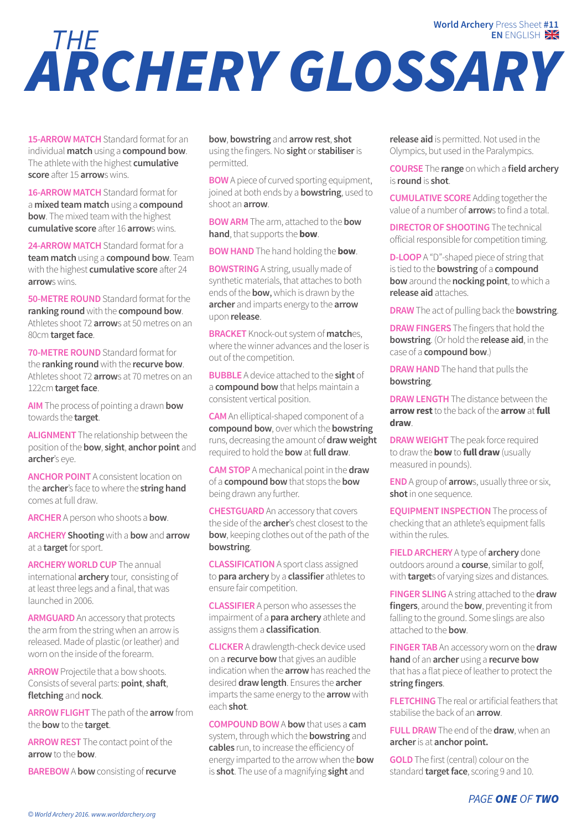## *ARCHERY GLOSSARY THE* **EN** ENGLISH **World Archery** Press Sheet **#11**

**15-ARROW MATCH** Standard format for an individual **match** using a **compound bow**. The athlete with the highest **cumulative score** after 15 **arrow**s wins.

**16-ARROW MATCH** Standard format for a **mixed team match** using a **compound bow**. The mixed team with the highest **cumulative score** after 16 **arrow**s wins.

**24-ARROW MATCH** Standard format for a **team match** using a **compound bow**. Team with the highest **cumulative score** after 24 **arrow**s wins.

**50-METRE ROUND** Standard format for the **ranking round** with the **compound bow**. Athletes shoot 72 **arrow**s at 50 metres on an 80cm **target face**.

**70-METRE ROUND** Standard format for the **ranking round** with the **recurve bow**. Athletes shoot 72 **arrow**s at 70 metres on an 122cm **target face**.

**AIM** The process of pointing a drawn **bow** towards the **target**.

**ALIGNMENT** The relationship between the position of the **bow**, **sight**, **anchor point** and **archer**'s eye.

**ANCHOR POINT** A consistent location on the **archer**'s face to where the **string hand** comes at full draw.

**ARCHER** A person who shoots a **bow**.

**ARCHERY Shooting** with a **bow** and **arrow** at a **target** for sport.

**ARCHERY WORLD CUP** The annual international **archery** tour, consisting of at least three legs and a final, that was launched in 2006.

**ARMGUARD** An accessory that protects the arm from the string when an arrow is released. Made of plastic (or leather) and worn on the inside of the forearm.

**ARROW** Projectile that a bow shoots. Consists of several parts: **point**, **shaft**, **fletching** and **nock**.

**ARROW FLIGHT** The path of the **arrow** from the **bow** to the **target**.

**ARROW REST** The contact point of the **arrow** to the **bow**.

**BAREBOW** A **bow** consisting of **recurve** 

**bow**, **bowstring** and **arrow rest**, **shot** using the fingers. No **sight** or **stabiliser** is permitted.

**BOW** A piece of curved sporting equipment, joined at both ends by a **bowstring**, used to shoot an **arrow**.

**BOW ARM** The arm, attached to the **bow hand**, that supports the **bow**.

**BOW HAND** The hand holding the **bow**.

**BOWSTRING** A string, usually made of synthetic materials, that attaches to both ends of the **bow**, which is drawn by the **archer** and imparts energy to the **arrow** upon **release**.

**BRACKET** Knock-out system of **match**es, where the winner advances and the loser is out of the competition.

**BUBBLE** A device attached to the **sight** of a **compound bow** that helps maintain a consistent vertical position.

**CAM** An elliptical-shaped component of a **compound bow**, over which the **bowstring** runs, decreasing the amount of **draw weight** required to hold the **bow** at **full draw**.

**CAM STOP** A mechanical point in the **draw** of a **compound bow** that stops the **bow** being drawn any further.

**CHESTGUARD** An accessory that covers the side of the **archer**'s chest closest to the **bow**, keeping clothes out of the path of the **bowstring**.

**CLASSIFICATION** A sport class assigned to **para archery** by a **classifier** athletes to ensure fair competition.

**CLASSIFIER** A person who assesses the impairment of a **para archery** athlete and assigns them a **classification**.

**CLICKER** A drawlength-check device used on a **recurve bow** that gives an audible indication when the **arrow** has reached the desired **draw length**. Ensures the **archer** imparts the same energy to the **arrow** with each **shot**.

**COMPOUND BOW** A **bow** that uses a **cam** system, through which the **bowstring** and **cables** run, to increase the efficiency of energy imparted to the arrow when the **bow** is **shot**. The use of a magnifying **sight** and

**release aid** is permitted. Not used in the Olympics, but used in the Paralympics.

**COURSE** The **range** on which a **field archery** is **round** is **shot**.

**CUMULATIVE SCORE** Adding together the value of a number of **arrow**s to find a total.

**DIRECTOR OF SHOOTING** The technical official responsible for competition timing.

**D-LOOP** A "D"-shaped piece of string that is tied to the **bowstring** of a **compound bow** around the **nocking point**, to which a **release aid** attaches.

**DRAW** The act of pulling back the **bowstring**.

**DRAW FINGERS** The fingers that hold the **bowstring**. (Or hold the **release aid**, in the case of a **compound bow**.)

**DRAW HAND** The hand that pulls the **bowstring**.

**DRAW LENGTH** The distance between the **arrow rest** to the back of the **arrow** at **full draw**.

**DRAW WEIGHT** The peak force required to draw the **bow** to **full draw** (usually measured in pounds).

**END** A group of **arrow**s, usually three or six, **shot** in one sequence.

**EQUIPMENT INSPECTION** The process of checking that an athlete's equipment falls within the rules.

**FIELD ARCHERY** A type of **archery** done outdoors around a **course**, similar to golf, with **target**s of varying sizes and distances.

**FINGER SLING** A string attached to the **draw fingers**, around the **bow**, preventing it from falling to the ground. Some slings are also attached to the **bow**.

**FINGER TAB** An accessory worn on the **draw hand** of an **archer** using a **recurve bow** that has a flat piece of leather to protect the **string fingers**.

**FLETCHING** The real or artificial feathers that stabilise the back of an **arrow**.

**FULL DRAW** The end of the **draw**, when an **archer** is at **anchor point.**

**GOLD** The first (central) colour on the standard **target face**, scoring 9 and 10.